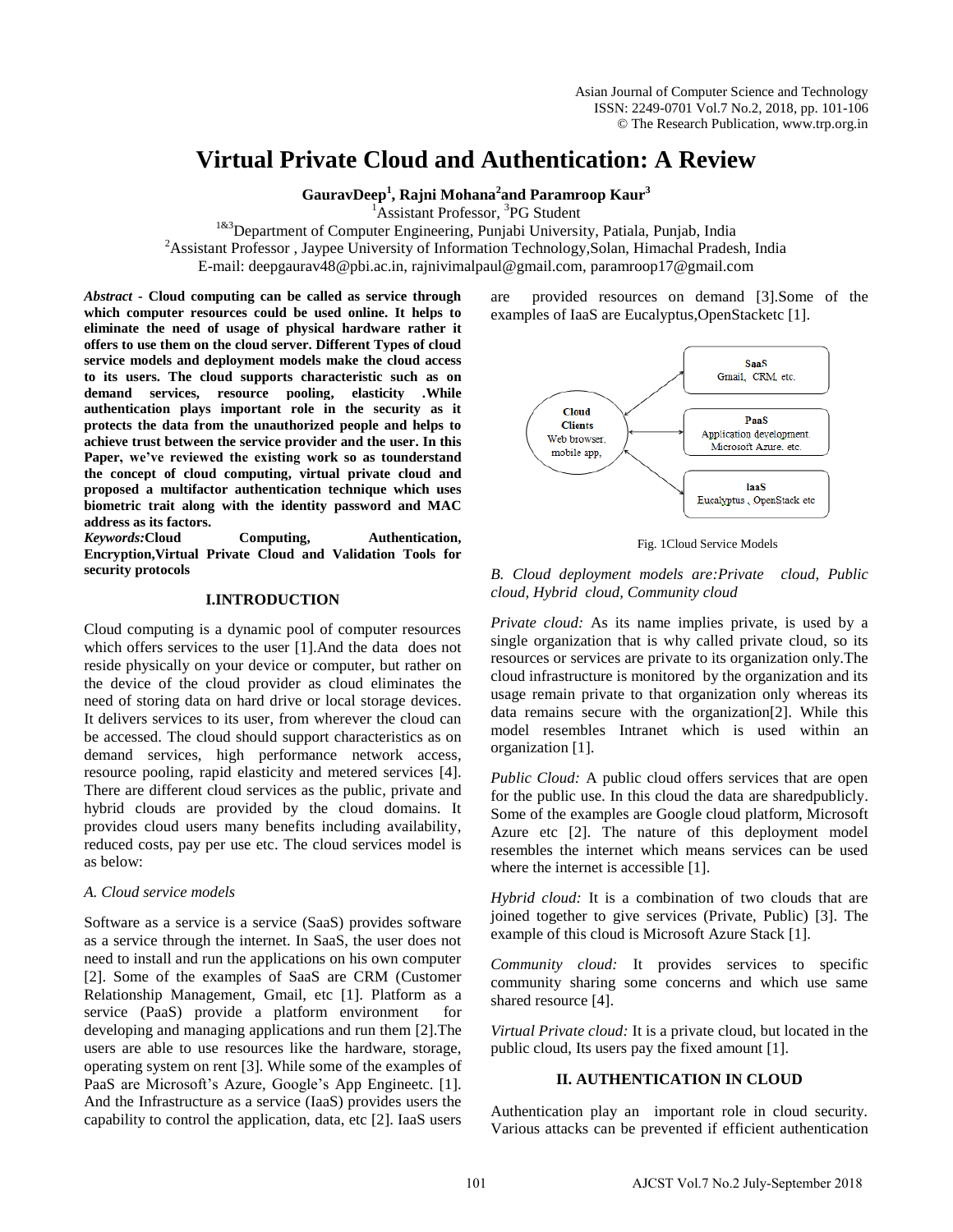# **Virtual Private Cloud and Authentication: A Review**

**GauravDeep<sup>1</sup> , Rajni Mohana<sup>2</sup> and Paramroop Kaur<sup>3</sup>**

<sup>1</sup>Assistant Professor, <sup>3</sup>PG Student

<sup>1&3</sup>Department of Computer Engineering, Punjabi University, Patiala, Punjab, India <sup>2</sup>Assistant Professor, Jaypee University of Information Technology, Solan, Himachal Pradesh, India E-mail: deepgaurav48@pbi.ac.in, rajnivimalpaul@gmail.com, paramroop17@gmail.com

*Abstract* **- Cloud computing can be called as service through which computer resources could be used online. It helps to eliminate the need of usage of physical hardware rather it offers to use them on the cloud server. Different Types of cloud service models and deployment models make the cloud access to its users. The cloud supports characteristic such as on demand services, resource pooling, elasticity .While authentication plays important role in the security as it protects the data from the unauthorized people and helps to achieve trust between the service provider and the user. In this Paper, we've reviewed the existing work so as tounderstand the concept of cloud computing, virtual private cloud and proposed a multifactor authentication technique which uses biometric trait along with the identity password and MAC address as its factors.**

*Keywords:***Cloud Computing, Authentication, Encryption,Virtual Private Cloud and Validation Tools for security protocols**

# **I.INTRODUCTION**

Cloud computing is a dynamic pool of computer resources which offers services to the user [1].And the data does not reside physically on your device or computer, but rather on the device of the cloud provider as cloud eliminates the need of storing data on hard drive or local storage devices. It delivers services to its user, from wherever the cloud can be accessed. The cloud should support characteristics as on demand services, high performance network access, resource pooling, rapid elasticity and metered services [4]. There are different cloud services as the public, private and hybrid clouds are provided by the cloud domains. It provides cloud users many benefits including availability, reduced costs, pay per use etc. The cloud services model is as below:

# *A. Cloud service models*

Software as a service is a service (SaaS) provides software as a service through the internet. In SaaS, the user does not need to install and run the applications on his own computer [2]. Some of the examples of SaaS are CRM (Customer Relationship Management, Gmail, etc [1]. Platform as a service (PaaS) provide a platform environment for developing and managing applications and run them [2].The users are able to use resources like the hardware, storage, operating system on rent [3]. While some of the examples of PaaS are Microsoft's Azure, Google's App Engineetc. [1]. And the Infrastructure as a service (IaaS) provides users the capability to control the application, data, etc [2]. IaaS users are provided resources on demand [3].Some of the examples of IaaS are Eucalyptus,OpenStacketc [1].



Fig. 1Cloud Service Models

*B. Cloud deployment models are:Private cloud, Public cloud, Hybrid cloud, Community cloud* 

*Private cloud:* As its name implies private, is used by a single organization that is why called private cloud, so its resources or services are private to its organization only.The cloud infrastructure is monitored by the organization and its usage remain private to that organization only whereas its data remains secure with the organization[2]. While this model resembles Intranet which is used within an organization [1].

*Public Cloud:* A public cloud offers services that are open for the public use. In this cloud the data are sharedpublicly. Some of the examples are Google cloud platform, Microsoft Azure etc [2]. The nature of this deployment model resembles the internet which means services can be used where the internet is accessible [1].

*Hybrid cloud:* It is a combination of two clouds that are joined together to give services (Private, Public) [3]. The example of this cloud is Microsoft Azure Stack [1].

*Community cloud:* It provides services to specific community sharing some concerns and which use same shared resource [4].

*Virtual Private cloud:* It is a private cloud, but located in the public cloud, Its users pay the fixed amount [1].

# **II. AUTHENTICATION IN CLOUD**

Authentication play an important role in cloud security. Various attacks can be prevented if efficient authentication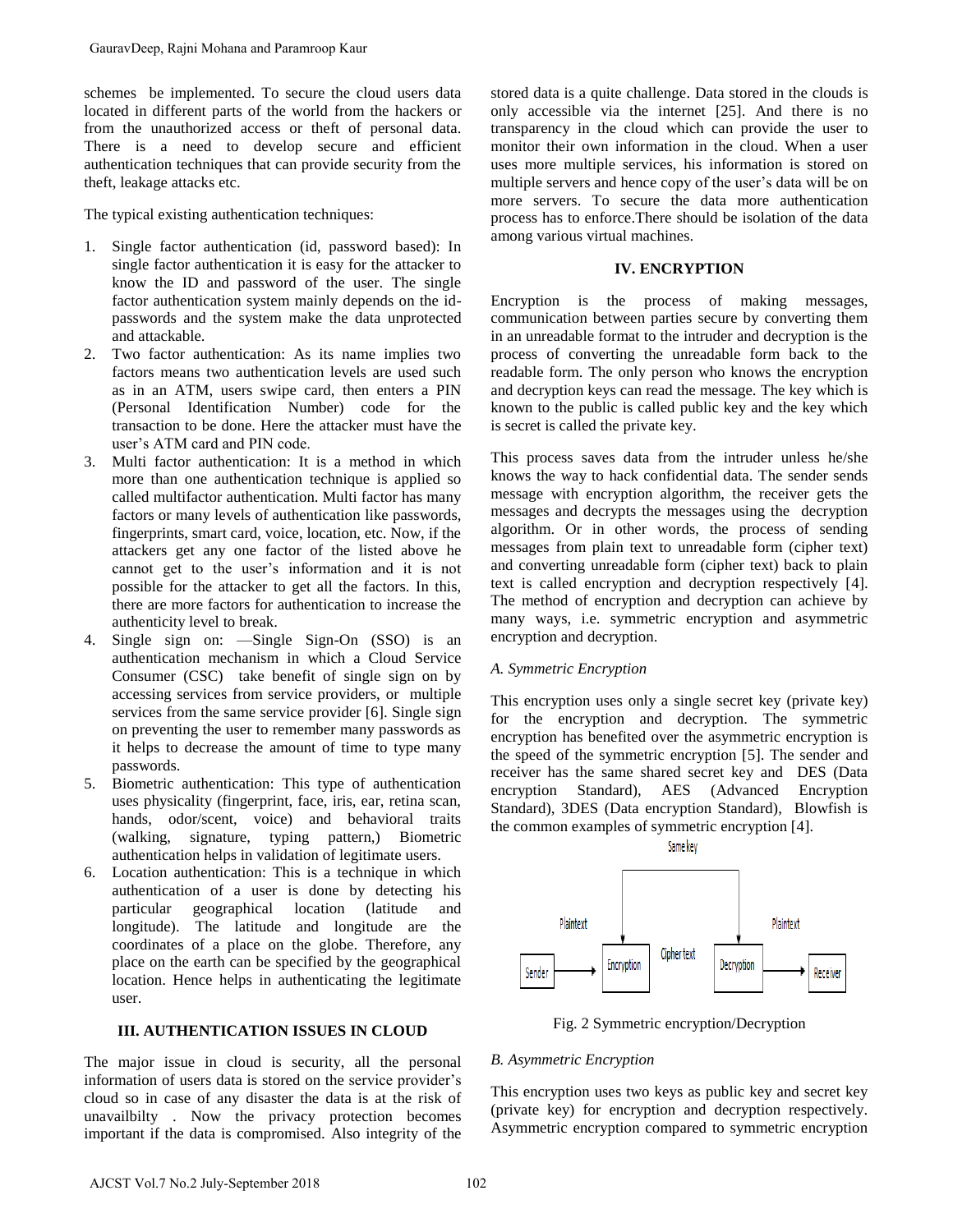schemes be implemented. To secure the cloud users data located in different parts of the world from the hackers or from the unauthorized access or theft of personal data. There is a need to develop secure and efficient authentication techniques that can provide security from the theft, leakage attacks etc.

The typical existing authentication techniques:

- 1. Single factor authentication (id, password based): In single factor authentication it is easy for the attacker to know the ID and password of the user. The single factor authentication system mainly depends on the idpasswords and the system make the data unprotected and attackable.
- 2. Two factor authentication: As its name implies two factors means two authentication levels are used such as in an ATM, users swipe card, then enters a PIN (Personal Identification Number) code for the transaction to be done. Here the attacker must have the user's ATM card and PIN code.
- 3. Multi factor authentication: It is a method in which more than one authentication technique is applied so called multifactor authentication. Multi factor has many factors or many levels of authentication like passwords, fingerprints, smart card, voice, location, etc. Now, if the attackers get any one factor of the listed above he cannot get to the user's information and it is not possible for the attacker to get all the factors. In this, there are more factors for authentication to increase the authenticity level to break. GauravDeep, Rajni Mohana and Paramroop Kaur<br>
columns be implemented. To secure the cloud users data<br>
concelumns of the cosens or their of the result damentic in different parts of the world from the laukacy or<br>
Unreduction
- 4. Single sign on: —Single Sign-On (SSO) is an authentication mechanism in which a Cloud Service Consumer (CSC) take benefit of single sign on by accessing services from service providers, or multiple services from the same service provider [6]. Single sign on preventing the user to remember many passwords as it helps to decrease the amount of time to type many passwords.
- 5. Biometric authentication: This type of authentication uses physicality (fingerprint, face, iris, ear, retina scan, hands, odor/scent, voice) and behavioral traits (walking, signature, typing pattern,) Biometric authentication helps in validation of legitimate users.
- 6. Location authentication: This is a technique in which authentication of a user is done by detecting his particular geographical location (latitude and longitude). The latitude and longitude are the coordinates of a place on the globe. Therefore, any place on the earth can be specified by the geographical location. Hence helps in authenticating the legitimate user.

# **III. AUTHENTICATION ISSUES IN CLOUD**

The major issue in cloud is security, all the personal information of users data is stored on the service provider's cloud so in case of any disaster the data is at the risk of unavailbilty . Now the privacy protection becomes important if the data is compromised. Also integrity of the

stored data is a quite challenge. Data stored in the clouds is only accessible via the internet [25]. And there is no transparency in the cloud which can provide the user to monitor their own information in the cloud. When a user uses more multiple services, his information is stored on multiple servers and hence copy of the user's data will be on more servers. To secure the data more authentication process has to enforce.There should be isolation of the data among various virtual machines.

## **IV. ENCRYPTION**

Encryption is the process of making messages, communication between parties secure by converting them in an unreadable format to the intruder and decryption is the process of converting the unreadable form back to the readable form. The only person who knows the encryption and decryption keys can read the message. The key which is known to the public is called public key and the key which is secret is called the private key.

This process saves data from the intruder unless he/she knows the way to hack confidential data. The sender sends message with encryption algorithm, the receiver gets the messages and decrypts the messages using the decryption algorithm. Or in other words, the process of sending messages from plain text to unreadable form (cipher text) and converting unreadable form (cipher text) back to plain text is called encryption and decryption respectively [4]. The method of encryption and decryption can achieve by many ways, i.e. symmetric encryption and asymmetric encryption and decryption.

### *A. Symmetric Encryption*

This encryption uses only a single secret key (private key) for the encryption and decryption. The symmetric encryption has benefited over the asymmetric encryption is the speed of the symmetric encryption [5]. The sender and receiver has the same shared secret key and DES (Data encryption Standard), AES (Advanced Encryption Standard), 3DES (Data encryption Standard), Blowfish is the common examples of symmetric encryption [4].



Fig. 2 Symmetric encryption/Decryption

# *B. Asymmetric Encryption*

This encryption uses two keys as public key and secret key (private key) for encryption and decryption respectively. Asymmetric encryption compared to symmetric encryption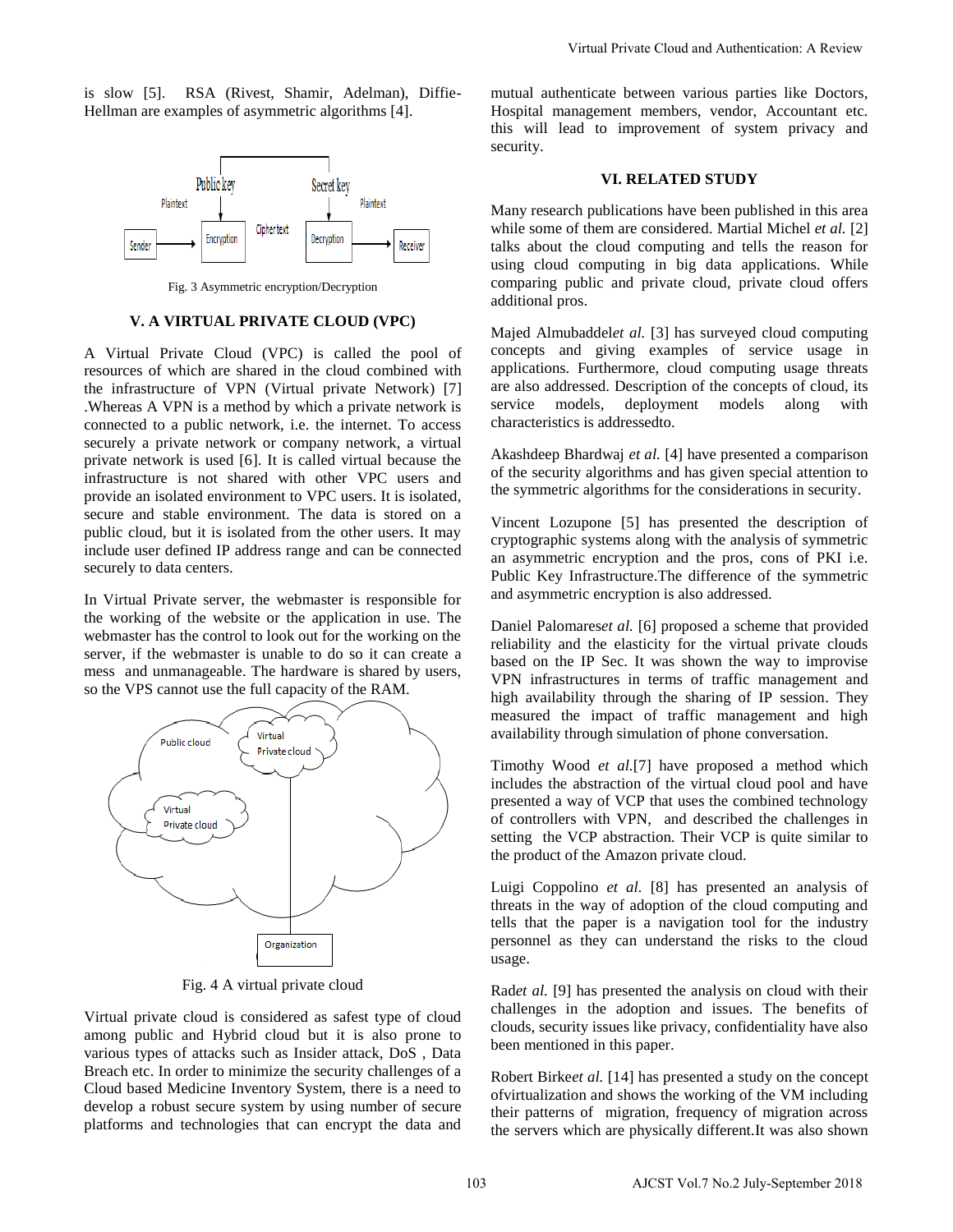is slow [5]. RSA (Rivest, Shamir, Adelman), Diffie-Hellman are examples of asymmetric algorithms [4].



Fig. 3 Asymmetric encryption/Decryption

#### **V. A VIRTUAL PRIVATE CLOUD (VPC)**

A Virtual Private Cloud (VPC) is called the pool of resources of which are shared in the cloud combined with the infrastructure of VPN (Virtual private Network) [7] .Whereas A VPN is a method by which a private network is connected to a public network, i.e. the internet. To access securely a private network or company network, a virtual private network is used [6]. It is called virtual because the infrastructure is not shared with other VPC users and provide an isolated environment to VPC users. It is isolated, secure and stable environment. The data is stored on a public cloud, but it is isolated from the other users. It may include user defined IP address range and can be connected securely to data centers.

In Virtual Private server, the webmaster is responsible for the working of the website or the application in use. The webmaster has the control to look out for the working on the server, if the webmaster is unable to do so it can create a mess and unmanageable. The hardware is shared by users, so the VPS cannot use the full capacity of the RAM.



Fig. 4 A virtual private cloud

Virtual private cloud is considered as safest type of cloud among public and Hybrid cloud but it is also prone to various types of attacks such as Insider attack, DoS , Data Breach etc. In order to minimize the security challenges of a Cloud based Medicine Inventory System, there is a need to develop a robust secure system by using number of secure platforms and technologies that can encrypt the data and mutual authenticate between various parties like Doctors, Hospital management members, vendor, Accountant etc. this will lead to improvement of system privacy and security.

### **VI. RELATED STUDY**

Many research publications have been published in this area while some of them are considered. Martial Michel *et al.* [2] talks about the cloud computing and tells the reason for using cloud computing in big data applications. While comparing public and private cloud, private cloud offers additional pros.

Majed Almubaddel*et al.* [3] has surveyed cloud computing concepts and giving examples of service usage in applications. Furthermore, cloud computing usage threats are also addressed. Description of the concepts of cloud, its service models, deployment models along with characteristics is addressedto.

Akashdeep Bhardwaj *et al.* [4] have presented a comparison of the security algorithms and has given special attention to the symmetric algorithms for the considerations in security.

Vincent Lozupone [5] has presented the description of cryptographic systems along with the analysis of symmetric an asymmetric encryption and the pros, cons of PKI i.e. Public Key Infrastructure.The difference of the symmetric and asymmetric encryption is also addressed.

Daniel Palomares*et al.* [6] proposed a scheme that provided reliability and the elasticity for the virtual private clouds based on the IP Sec. It was shown the way to improvise VPN infrastructures in terms of traffic management and high availability through the sharing of IP session. They measured the impact of traffic management and high availability through simulation of phone conversation. Virtual Private Cloud and Authentication: A Review<br>
mutual untentients between various partics like Doctors<br>
this will lead to improvement of system privacy and<br>
Hospital mungerence menoles, vendominal este and<br>
V.I. RELA

Timothy Wood *et al.*[7] have proposed a method which includes the abstraction of the virtual cloud pool and have presented a way of VCP that uses the combined technology of controllers with VPN, and described the challenges in setting the VCP abstraction. Their VCP is quite similar to the product of the Amazon private cloud.

Luigi Coppolino *et al.* [8] has presented an analysis of threats in the way of adoption of the cloud computing and tells that the paper is a navigation tool for the industry personnel as they can understand the risks to the cloud usage.

Rad*et al.* [9] has presented the analysis on cloud with their challenges in the adoption and issues. The benefits of clouds, security issues like privacy, confidentiality have also been mentioned in this paper.

Robert Birke*et al.* [14] has presented a study on the concept ofvirtualization and shows the working of the VM including their patterns of migration, frequency of migration across the servers which are physically different.It was also shown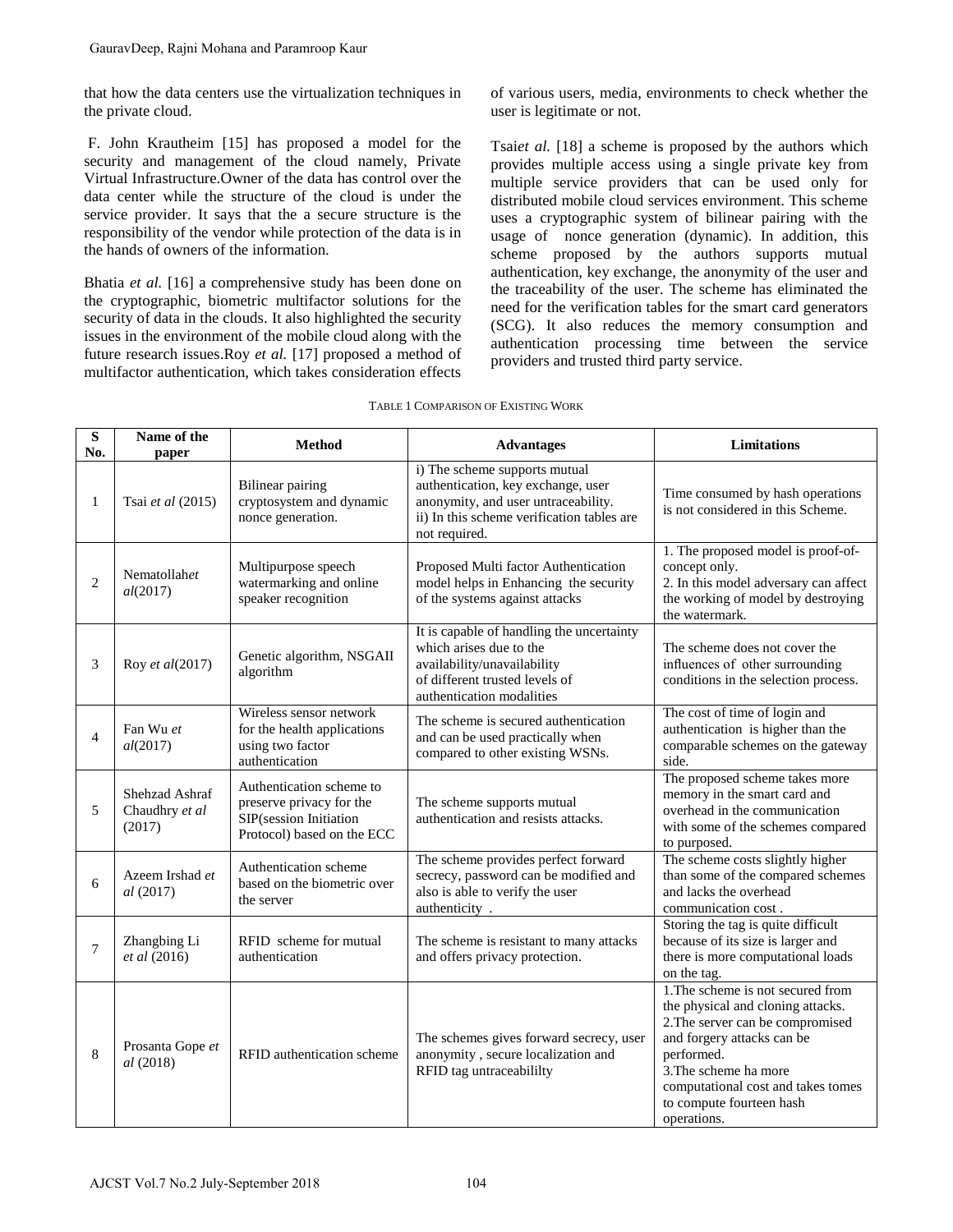| GauravDeep, Rajni Mohana and Paramroop Kaur                                                                                                                                                                                                                                                                                                                                                                                                                                                                                                                                                                                                                                                                                                                                                                              |                                            |                                                                                                              |                                                                                                                                                                           |                                                                                                                                                                                                                                                                                                                                                                                                                                                                                                                                                                                                                                                                                                                                                                              |                                                                                                                                                                                                                                                                  |
|--------------------------------------------------------------------------------------------------------------------------------------------------------------------------------------------------------------------------------------------------------------------------------------------------------------------------------------------------------------------------------------------------------------------------------------------------------------------------------------------------------------------------------------------------------------------------------------------------------------------------------------------------------------------------------------------------------------------------------------------------------------------------------------------------------------------------|--------------------------------------------|--------------------------------------------------------------------------------------------------------------|---------------------------------------------------------------------------------------------------------------------------------------------------------------------------|------------------------------------------------------------------------------------------------------------------------------------------------------------------------------------------------------------------------------------------------------------------------------------------------------------------------------------------------------------------------------------------------------------------------------------------------------------------------------------------------------------------------------------------------------------------------------------------------------------------------------------------------------------------------------------------------------------------------------------------------------------------------------|------------------------------------------------------------------------------------------------------------------------------------------------------------------------------------------------------------------------------------------------------------------|
| that how the data centers use the virtualization techniques in<br>the private cloud.                                                                                                                                                                                                                                                                                                                                                                                                                                                                                                                                                                                                                                                                                                                                     |                                            |                                                                                                              |                                                                                                                                                                           | of various users, media, environments to check whether the<br>user is legitimate or not.                                                                                                                                                                                                                                                                                                                                                                                                                                                                                                                                                                                                                                                                                     |                                                                                                                                                                                                                                                                  |
| F. John Krautheim [15] has proposed a model for the<br>security and management of the cloud namely, Private<br>Virtual Infrastructure. Owner of the data has control over the<br>data center while the structure of the cloud is under the<br>service provider. It says that the a secure structure is the<br>responsibility of the vendor while protection of the data is in<br>the hands of owners of the information.<br>Bhatia et al. [16] a comprehensive study has been done on<br>the cryptographic, biometric multifactor solutions for the<br>security of data in the clouds. It also highlighted the security<br>issues in the environment of the mobile cloud along with the<br>future research issues. Roy et al. [17] proposed a method of<br>multifactor authentication, which takes consideration effects |                                            |                                                                                                              |                                                                                                                                                                           | Tsaiet al. [18] a scheme is proposed by the authors which<br>provides multiple access using a single private key from<br>multiple service providers that can be used only for<br>distributed mobile cloud services environment. This scheme<br>uses a cryptographic system of bilinear pairing with the<br>usage of nonce generation (dynamic). In addition, this<br>scheme proposed by the authors supports mutual<br>authentication, key exchange, the anonymity of the user and<br>the traceability of the user. The scheme has eliminated the<br>need for the verification tables for the smart card generators<br>(SCG). It also reduces the memory consumption and<br>authentication processing time between the service<br>providers and trusted third party service. |                                                                                                                                                                                                                                                                  |
| TABLE 1 COMPARISON OF EXISTING WORK                                                                                                                                                                                                                                                                                                                                                                                                                                                                                                                                                                                                                                                                                                                                                                                      |                                            |                                                                                                              |                                                                                                                                                                           |                                                                                                                                                                                                                                                                                                                                                                                                                                                                                                                                                                                                                                                                                                                                                                              |                                                                                                                                                                                                                                                                  |
| S<br>No.                                                                                                                                                                                                                                                                                                                                                                                                                                                                                                                                                                                                                                                                                                                                                                                                                 | Name of the<br>paper                       | <b>Method</b>                                                                                                | <b>Advantages</b>                                                                                                                                                         |                                                                                                                                                                                                                                                                                                                                                                                                                                                                                                                                                                                                                                                                                                                                                                              | Limitations                                                                                                                                                                                                                                                      |
| 1                                                                                                                                                                                                                                                                                                                                                                                                                                                                                                                                                                                                                                                                                                                                                                                                                        | Tsai et al (2015)                          | Bilinear pairing<br>cryptosystem and dynamic<br>nonce generation.                                            | i) The scheme supports mutual<br>authentication, key exchange, user<br>anonymity, and user untraceability.<br>ii) In this scheme verification tables are<br>not required. |                                                                                                                                                                                                                                                                                                                                                                                                                                                                                                                                                                                                                                                                                                                                                                              | Time consumed by hash operations<br>is not considered in this Scheme.                                                                                                                                                                                            |
| 2                                                                                                                                                                                                                                                                                                                                                                                                                                                                                                                                                                                                                                                                                                                                                                                                                        | Nematollahet<br>al(2017)                   | Multipurpose speech<br>watermarking and online<br>speaker recognition                                        | Proposed Multi factor Authentication<br>model helps in Enhancing the security<br>of the systems against attacks                                                           |                                                                                                                                                                                                                                                                                                                                                                                                                                                                                                                                                                                                                                                                                                                                                                              | 1. The proposed model is proof-of-<br>concept only.<br>2. In this model adversary can affect<br>the working of model by destroying<br>the watermark.                                                                                                             |
| 3                                                                                                                                                                                                                                                                                                                                                                                                                                                                                                                                                                                                                                                                                                                                                                                                                        | Roy et al(2017)                            | Genetic algorithm, NSGAII<br>algorithm                                                                       | It is capable of handling the uncertainty<br>which arises due to the<br>availability/unavailability<br>of different trusted levels of<br>authentication modalities        |                                                                                                                                                                                                                                                                                                                                                                                                                                                                                                                                                                                                                                                                                                                                                                              | The scheme does not cover the<br>influences of other surrounding<br>conditions in the selection process.                                                                                                                                                         |
| 4                                                                                                                                                                                                                                                                                                                                                                                                                                                                                                                                                                                                                                                                                                                                                                                                                        | Fan Wu et<br>al(2017)                      | Wireless sensor network<br>for the health applications<br>using two factor<br>authentication                 | The scheme is secured authentication<br>and can be used practically when<br>compared to other existing WSNs.                                                              |                                                                                                                                                                                                                                                                                                                                                                                                                                                                                                                                                                                                                                                                                                                                                                              | The cost of time of login and<br>authentication is higher than the<br>comparable schemes on the gateway<br>side.                                                                                                                                                 |
| 5                                                                                                                                                                                                                                                                                                                                                                                                                                                                                                                                                                                                                                                                                                                                                                                                                        | Shehzad Ashraf<br>Chaudhry et al<br>(2017) | Authentication scheme to<br>preserve privacy for the<br>SIP(session Initiation<br>Protocol) based on the ECC | The scheme supports mutual<br>authentication and resists attacks.                                                                                                         |                                                                                                                                                                                                                                                                                                                                                                                                                                                                                                                                                                                                                                                                                                                                                                              | The proposed scheme takes more<br>memory in the smart card and<br>overhead in the communication<br>with some of the schemes compared<br>to purposed.                                                                                                             |
| 6                                                                                                                                                                                                                                                                                                                                                                                                                                                                                                                                                                                                                                                                                                                                                                                                                        | Azeem Irshad et<br>al(2017)                | Authentication scheme<br>based on the biometric over<br>the server                                           | The scheme provides perfect forward<br>secrecy, password can be modified and<br>also is able to verify the user<br>authenticity.                                          |                                                                                                                                                                                                                                                                                                                                                                                                                                                                                                                                                                                                                                                                                                                                                                              | The scheme costs slightly higher<br>than some of the compared schemes<br>and lacks the overhead<br>communication cost.                                                                                                                                           |
| $\overline{7}$                                                                                                                                                                                                                                                                                                                                                                                                                                                                                                                                                                                                                                                                                                                                                                                                           | Zhangbing Li<br>et al (2016)               | RFID scheme for mutual<br>authentication                                                                     | The scheme is resistant to many attacks<br>and offers privacy protection.                                                                                                 |                                                                                                                                                                                                                                                                                                                                                                                                                                                                                                                                                                                                                                                                                                                                                                              | Storing the tag is quite difficult<br>because of its size is larger and<br>there is more computational loads<br>on the tag.                                                                                                                                      |
| 8                                                                                                                                                                                                                                                                                                                                                                                                                                                                                                                                                                                                                                                                                                                                                                                                                        | Prosanta Gope et<br><i>al</i> (2018)       | RFID authentication scheme                                                                                   | The schemes gives forward secrecy, user<br>anonymity, secure localization and<br>RFID tag untraceabililty                                                                 |                                                                                                                                                                                                                                                                                                                                                                                                                                                                                                                                                                                                                                                                                                                                                                              | 1. The scheme is not secured from<br>the physical and cloning attacks.<br>2. The server can be compromised<br>and forgery attacks can be<br>performed.<br>3. The scheme ha more<br>computational cost and takes tomes<br>to compute fourteen hash<br>operations. |
| AJCST Vol.7 No.2 July-September 2018<br>104                                                                                                                                                                                                                                                                                                                                                                                                                                                                                                                                                                                                                                                                                                                                                                              |                                            |                                                                                                              |                                                                                                                                                                           |                                                                                                                                                                                                                                                                                                                                                                                                                                                                                                                                                                                                                                                                                                                                                                              |                                                                                                                                                                                                                                                                  |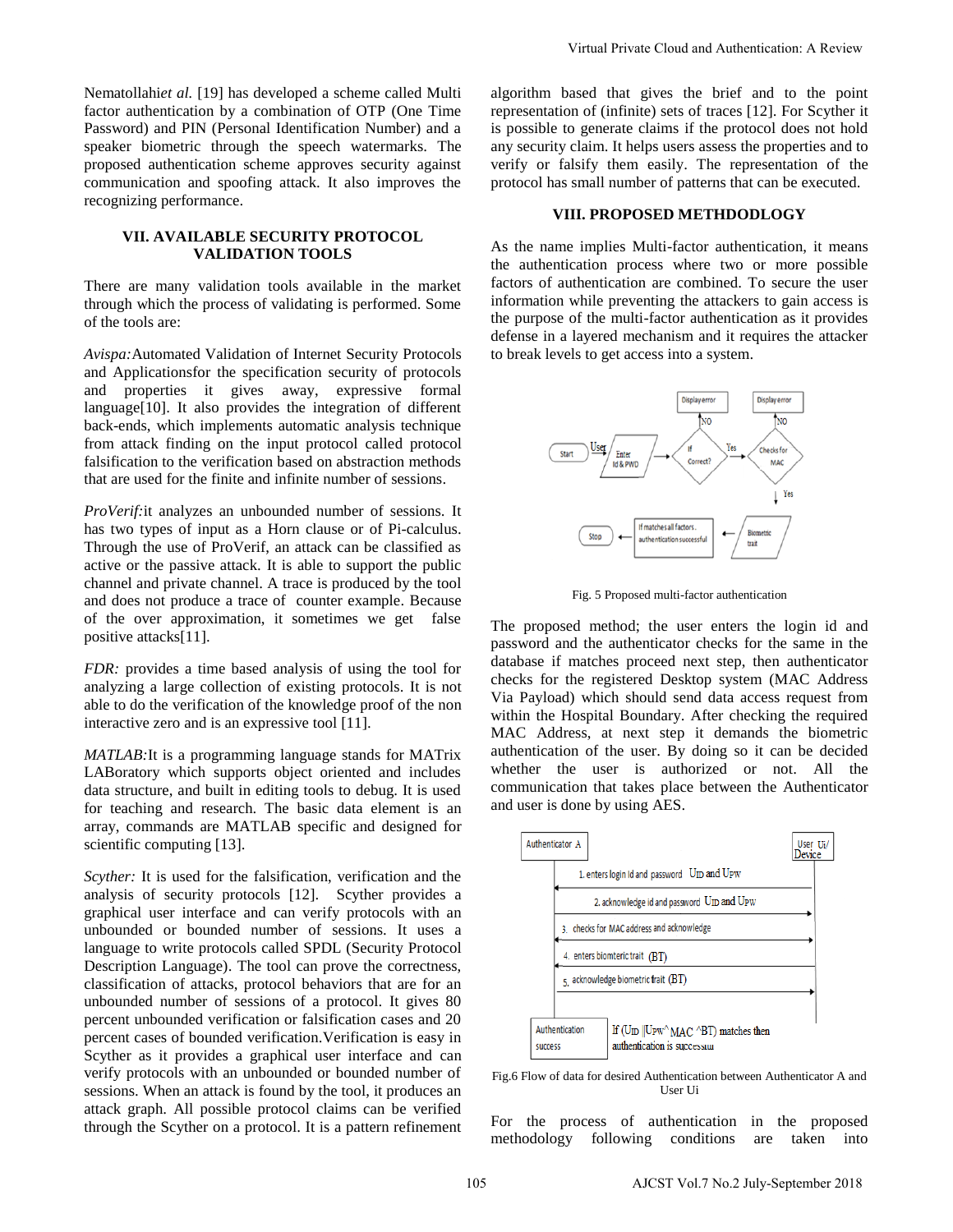## **VII. AVAILABLE SECURITY PROTOCOL VALIDATION TOOLS**

There are many validation tools available in the market through which the process of validating is performed. Some of the tools are:

*Avispa:*Automated Validation of Internet Security Protocols and Applicationsfor the specification security of protocols and properties it gives away, expressive formal language[10]. It also provides the integration of different back-ends, which implements automatic analysis technique from attack finding on the input protocol called protocol falsification to the verification based on abstraction methods that are used for the finite and infinite number of sessions.

*ProVerif:*it analyzes an unbounded number of sessions. It has two types of input as a Horn clause or of Pi-calculus. Through the use of ProVerif, an attack can be classified as active or the passive attack. It is able to support the public channel and private channel. A trace is produced by the tool and does not produce a trace of counter example. Because of the over approximation, it sometimes we get false positive attacks[11].

*FDR:* provides a time based analysis of using the tool for analyzing a large collection of existing protocols. It is not able to do the verification of the knowledge proof of the non interactive zero and is an expressive tool [11].

*MATLAB:*It is a programming language stands for MATrix LABoratory which supports object oriented and includes data structure, and built in editing tools to debug. It is used for teaching and research. The basic data element is an array, commands are MATLAB specific and designed for scientific computing [13].

*Scyther:* It is used for the falsification, verification and the analysis of security protocols [12]. Scyther provides a graphical user interface and can verify protocols with an unbounded or bounded number of sessions. It uses a language to write protocols called SPDL (Security Protocol Description Language). The tool can prove the correctness, classification of attacks, protocol behaviors that are for an unbounded number of sessions of a protocol. It gives 80 percent unbounded verification or falsification cases and 20 percent cases of bounded verification.Verification is easy in Scyther as it provides a graphical user interface and can verify protocols with an unbounded or bounded number of sessions. When an attack is found by the tool, it produces an attack graph. All possible protocol claims can be verified through the Scyther on a protocol. It is a pattern refinement

algorithm based that gives the brief and to the point representation of (infinite) sets of traces [12]. For Scyther it is possible to generate claims if the protocol does not hold any security claim. It helps users assess the properties and to verify or falsify them easily. The representation of the protocol has small number of patterns that can be executed.

#### **VIII. PROPOSED METHDODLOGY**

As the name implies Multi-factor authentication, it means the authentication process where two or more possible factors of authentication are combined. To secure the user information while preventing the attackers to gain access is the purpose of the multi-factor authentication as it provides defense in a layered mechanism and it requires the attacker to break levels to get access into a system.



Fig. 5 Proposed multi-factor authentication

The proposed method; the user enters the login id and password and the authenticator checks for the same in the database if matches proceed next step, then authenticator checks for the registered Desktop system (MAC Address Via Payload) which should send data access request from within the Hospital Boundary. After checking the required MAC Address, at next step it demands the biometric authentication of the user. By doing so it can be decided whether the user is authorized or not. All the communication that takes place between the Authenticator and user is done by using AES.



Fig.6 Flow of data for desired Authentication between Authenticator A and User Ui

For the process of authentication in the proposed methodology following conditions are taken into